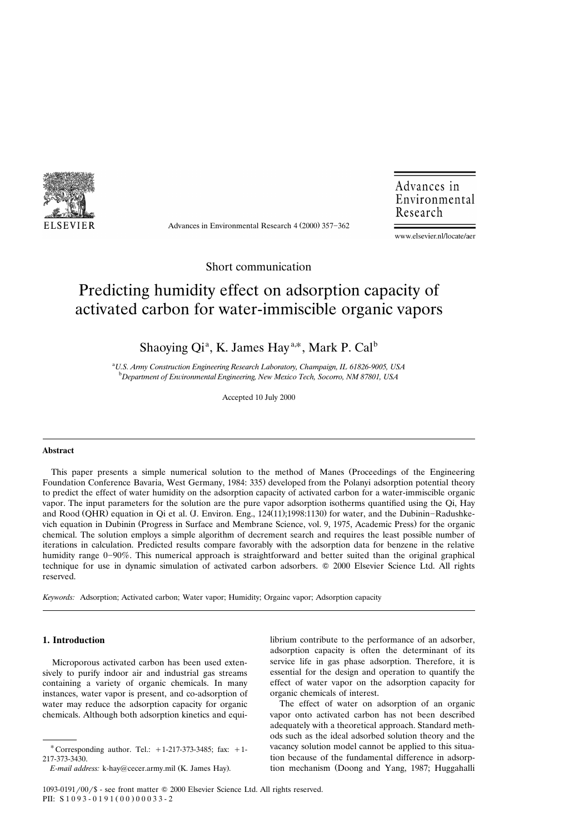

Advances in Environmental Research  $4(2000)$  357-362

Advances in Environmental Research

www.elsevier.nl/locate/aer

Short communication

# Predicting humidity effect on adsorption capacity of activated carbon for water-immiscible organic vapors

Shaoying Qi<sup>a</sup>, K. James Hay<sup>a,\*</sup>, Mark P. Cal<sup>b</sup>

a *U.S. Army Construction Engineering Research Laboratory, Champaign, IL 61826-9005, USA* <sup>b</sup> Department of Environmental Engineering, New Mexico Tech, Socorro, NM 87801, USA

Accepted 10 July 2000

#### **Abstract**

This paper presents a simple numerical solution to the method of Manes (Proceedings of the Engineering Foundation Conference Bavaria, West Germany, 1984: 335) developed from the Polanyi adsorption potential theory to predict the effect of water humidity on the adsorption capacity of activated carbon for a water-immiscible organic vapor. The input parameters for the solution are the pure vapor adsorption isotherms quantified using the Qi, Hay and Rood (QHR) equation in Qi et al. (J. Environ. Eng., 124(11);1998:1130) for water, and the Dubinin-Radushkevich equation in Dubinin (Progress in Surface and Membrane Science, vol. 9, 1975, Academic Press) for the organic chemical. The solution employs a simple algorithm of decrement search and requires the least possible number of iterations in calculation. Predicted results compare favorably with the adsorption data for benzene in the relative humidity range 0–90%. This numerical approach is straightforward and better suited than the original graphical technique for use in dynamic simulation of activated carbon adsorbers. © 2000 Elsevier Science Ltd. All rights reserved.

*Keywords:* Adsorption; Activated carbon; Water vapor; Humidity; Orgainc vapor; Adsorption capacity

# **1. Introduction**

Microporous activated carbon has been used extensively to purify indoor air and industrial gas streams containing a variety of organic chemicals. In many instances, water vapor is present, and co-adsorption of water may reduce the adsorption capacity for organic chemicals. Although both adsorption kinetics and equilibrium contribute to the performance of an adsorber, adsorption capacity is often the determinant of its service life in gas phase adsorption. Therefore, it is essential for the design and operation to quantify the effect of water vapor on the adsorption capacity for organic chemicals of interest.

The effect of water on adsorption of an organic vapor onto activated carbon has not been described adequately with a theoretical approach. Standard methods such as the ideal adsorbed solution theory and the vacancy solution model cannot be applied to this situation because of the fundamental difference in adsorption mechanism (Doong and Yang, 1987; Huggahalli

<sup>\*</sup> Corresponding author. Tel.:  $+1-217-373-3485$ ; fax:  $+1-$ 217-373-3430.

*E-mail address:* k-hay@cecer.army.mil (K. James Hay).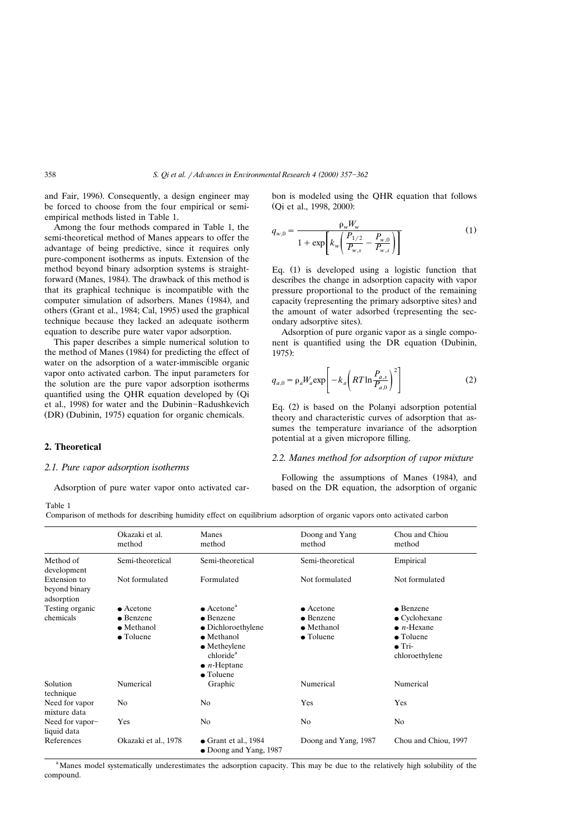and Fair, 1996). Consequently, a design engineer may be forced to choose from the four empirical or semiempirical methods listed in Table 1.

Among the four methods compared in Table 1, the semi-theoretical method of Manes appears to offer the advantage of being predictive, since it requires only pure-component isotherms as inputs. Extension of the method beyond binary adsorption systems is straightforward (Manes, 1984). The drawback of this method is that its graphical technique is incompatible with the computer simulation of adsorbers. Manes (1984), and others (Grant et al., 1984; Cal, 1995) used the graphical technique because they lacked an adequate isotherm equation to describe pure water vapor adsorption.

This paper describes a simple numerical solution to the method of Manes (1984) for predicting the effect of water on the adsorption of a water-immiscible organic vapor onto activated carbon. The input parameters for the solution are the pure vapor adsorption isotherms quantified using the QHR equation developed by (Qi et al., 1998) for water and the Dubinin-Radushkevich (DR) (Dubinin, 1975) equation for organic chemicals.

## **2. Theoretical**

#### *2.1. Pure vapor adsorption isotherms*

Adsorption of pure water vapor onto activated car-

bon is modeled using the QHR equation that follows (Qi et al., 1998, 2000):

$$
q_{w,0} = \frac{\rho_w W_w}{1 + \exp\left[k_w \left(\frac{P_{1/2}}{P_{w,s}} - \frac{P_{w,0}}{P_{w,s}}\right)\right]}
$$
(1)

Eq.  $(1)$  is developed using a logistic function that describes the change in adsorption capacity with vapor pressure proportional to the product of the remaining capacity (representing the primary adsorptive sites) and the amount of water adsorbed (representing the secondary adsorptive sites).

Adsorption of pure organic vapor as a single component is quantified using the DR equation (Dubinin,  $1975$ :

$$
q_{a,0} = \rho_a W_a \exp\left[-k_a \left(RT \ln \frac{P_{a,s}}{P_{a,0}}\right)^2\right]
$$
 (2)

Eq.  $(2)$  is based on the Polanyi adsorption potential theory and characteristic curves of adsorption that assumes the temperature invariance of the adsorption potential at a given micropore filling.

# 2.2. Manes method for adsorption of vapor mixture

Following the assumptions of Manes (1984), and based on the DR equation, the adsorption of organic

Table 1

Comparison of methods for describing humidity effect on equilibrium adsorption of organic vapors onto activated carbon

|                                             | Okazaki et al.<br>method | Manes<br>method                                                                                                         | Doong and Yang<br>method | Chou and Chiou<br>method                              |
|---------------------------------------------|--------------------------|-------------------------------------------------------------------------------------------------------------------------|--------------------------|-------------------------------------------------------|
| Method of<br>development                    | Semi-theoretical         | Semi-theoretical                                                                                                        | Semi-theoretical         | Empirical                                             |
| Extension to<br>beyond binary<br>adsorption | Not formulated           | Formulated                                                                                                              | Not formulated           | Not formulated                                        |
| Testing organic                             | $\bullet$ Acetone        | $\bullet$ Acetone <sup>a</sup>                                                                                          | $\bullet$ Acetone        | $\bullet$ Benzene                                     |
| chemicals                                   | $\bullet$ Benzene        | $\bullet$ Benzene                                                                                                       | $\bullet$ Benzene        | $\bullet$ Cyclohexane                                 |
|                                             | $\bullet$ Methanol       | $\bullet$ Dichloroethylene                                                                                              | $\bullet$ Methanol       | $\bullet$ <i>n</i> -Hexane                            |
|                                             | $\bullet$ Toluene        | $\bullet$ Methanol<br>$\bullet$ Metheylene<br>chloride <sup>a</sup><br>$\bullet$ <i>n</i> -Heptane<br>$\bullet$ Toluene | $\bullet$ Toluene        | $\bullet$ Toluene<br>$\bullet$ Tri-<br>chloroethylene |
| Solution<br>technique                       | Numerical                | Graphic                                                                                                                 | Numerical                | Numerical                                             |
| Need for vapor<br>mixture data              | No                       | N <sub>0</sub>                                                                                                          | Yes                      | Yes                                                   |
| Need for vapor-<br>liquid data              | Yes                      | No.                                                                                                                     | N <sub>0</sub>           | N <sub>o</sub>                                        |
| References                                  | Okazaki et al., 1978     | $\bullet$ Grant et al., 1984<br>$\bullet$ Doong and Yang, 1987                                                          | Doong and Yang, 1987     | Chou and Chiou, 1997                                  |

<sup>a</sup>Manes model systematically underestimates the adsorption capacity. This may be due to the relatively high solubility of the compound.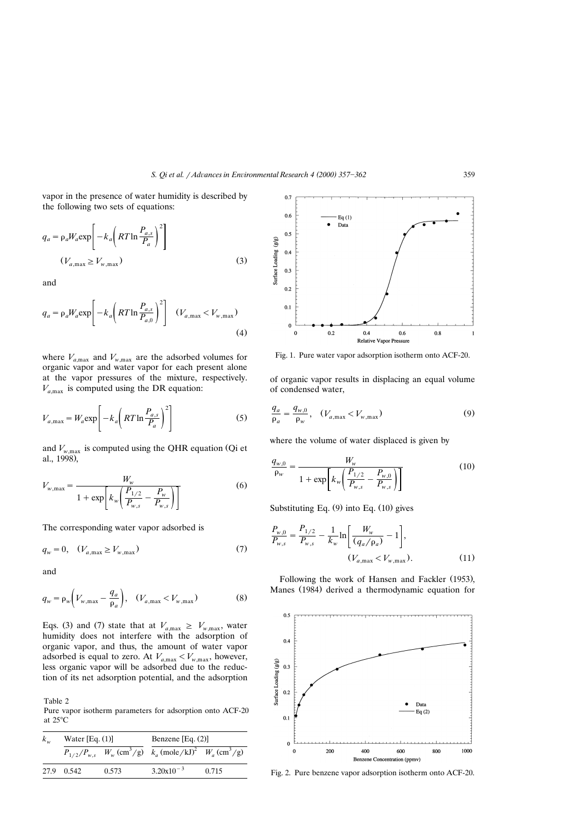vapor in the presence of water humidity is described by the following two sets of equations:

$$
q_a = \rho_a W_a \exp\left[-k_a \left(RT \ln \frac{P_{a,s}}{P_a}\right)^2\right]
$$
  

$$
(V_{a,\max} \ge V_{w,\max})
$$
 (3)

and

$$
q_a = \rho_a W_a \exp\left[-k_a \left(RT \ln \frac{P_{a,s}}{P_{a,0}}\right)^2\right] \quad (V_{a,\max} < V_{w,\max})\tag{4}
$$

where  $V_{a,\text{max}}$  and  $V_{w,\text{max}}$  are the adsorbed volumes for organic vapor and water vapor for each present alone at the vapor pressures of the mixture, respectively.  $V_{a,max}$  is computed using the DR equation:

$$
V_{a,\max} = W_a \exp\left[-k_a \left(RT \ln \frac{P_{a,s}}{P_a}\right)^2\right]
$$
 (5)

and  $V_{w, \text{max}}$  is computed using the QHR equation (Qi et al., 1998).

$$
V_{w,\max} = \frac{W_w}{1 + \exp\left[k_w \left(\frac{P_{1/2}}{P_{w,s}} - \frac{P_w}{P_{w,s}}\right)\right]}
$$
(6)

The corresponding water vapor adsorbed is

$$
q_w = 0, \quad (V_{a, \text{max}} \ge V_{w, \text{max}}) \tag{7}
$$

and

$$
q_w = \rho_w \left( V_{w,\text{max}} - \frac{q_a}{\rho_a} \right), \quad (V_{a,\text{max}} < V_{w,\text{max}}) \tag{8}
$$

Eqs. (3) and (7) state that at  $V_{a,\text{max}} \geq V_{w,\text{max}}$ , water humidity does not interfere with the adsorption of organic vapor, and thus, the amount of water vapor adsorbed is equal to zero. At  $V_{a,\text{max}} < V_{w,\text{max}}$ , however, less organic vapor will be adsorbed due to the reduction of its net adsorption potential, and the adsorption

Table 2 Pure vapor isotherm parameters for adsorption onto ACF-20 at 25°C

| $k_{w}$ | Water $[Eq. (1)]$ |       | Benzene $[Eq. (2)]$                                                                                  |       |
|---------|-------------------|-------|------------------------------------------------------------------------------------------------------|-------|
|         |                   |       | $P_{1/2}/P_{w,s}$ $W_w$ (cm <sup>3</sup> /g) $k_a$ (mole/kJ) <sup>2</sup> $W_a$ (cm <sup>3</sup> /g) |       |
|         | 27.9 0.542        | 0.573 | $3.20x10^{-3}$                                                                                       | 0.715 |



Fig. 1. Pure water vapor adsorption isotherm onto ACF-20.

of organic vapor results in displacing an equal volume of condensed water,

$$
\frac{q_a}{\rho_a} = \frac{q_{w,0}}{\rho_w}, \quad (V_{a,\text{max}} < V_{w,\text{max}}) \tag{9}
$$

where the volume of water displaced is given by

$$
\frac{q_{w,0}}{\rho_w} = \frac{W_w}{1 + \exp\left[k_w \left(\frac{P_{1/2}}{P_{w,s}} - \frac{P_{w,0}}{P_{w,s}}\right)\right]}
$$
(10)

Substituting Eq.  $(9)$  into Eq.  $(10)$  gives

$$
\frac{P_{w,0}}{P_{w,s}} = \frac{P_{1/2}}{P_{w,s}} - \frac{1}{k_w} \ln \left[ \frac{W_w}{(q_a/\rho_a)} - 1 \right],
$$
\n
$$
(V_{a,\max} < V_{w,\max}). \tag{11}
$$

Following the work of Hansen and Fackler (1953), Manes (1984) derived a thermodynamic equation for



Fig. 2. Pure benzene vapor adsorption isotherm onto ACF-20.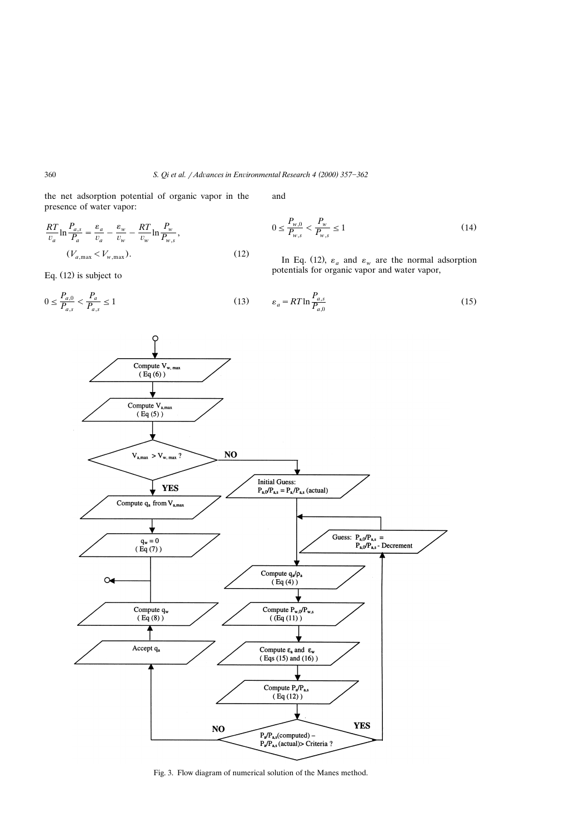the net adsorption potential of organic vapor in the presence of water vapor:

$$
\frac{RT}{v_a} \ln \frac{P_{a,s}}{P_a} = \frac{\varepsilon_a}{v_a} - \frac{\varepsilon_w}{v_w} - \frac{RT}{v_w} \ln \frac{P_w}{P_{w,s}},
$$
  

$$
(V_{a,\max} < V_{w,\max}).
$$
\n(12)

Eq.  $(12)$  is subject to

 $0 \le \frac{P_{a,0}}{P_{a,s}} < \frac{P_a}{P_{a,s}} \le 1$  (13)

and

$$
0 \le \frac{P_{w,0}}{P_{w,s}} < \frac{P_w}{P_{w,s}} \le 1\tag{14}
$$

In Eq. (12),  $\varepsilon_a$  and  $\varepsilon_w$  are the normal adsorption potentials for organic vapor and water vapor,

$$
\varepsilon_a = RT \ln \frac{P_{a,s}}{P_{a,0}}\tag{15}
$$



Fig. 3. Flow diagram of numerical solution of the Manes method.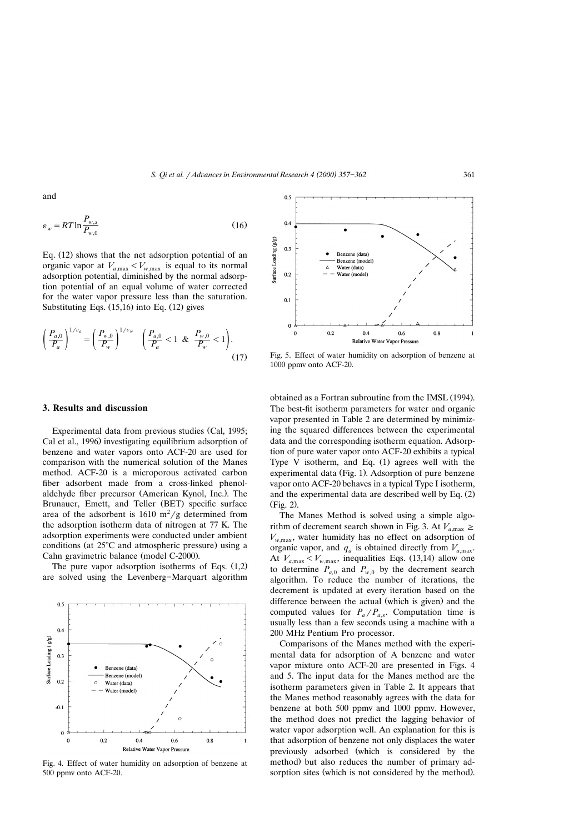and

$$
\varepsilon_{w} = RT \ln \frac{P_{w,s}}{P_{w,0}} \tag{16}
$$

Eq.  $(12)$  shows that the net adsorption potential of an organic vapor at  $V_{a,\text{max}} < V_{w,\text{max}}$  is equal to its normal adsorption potential, diminished by the normal adsorption potential of an equal volume of water corrected for the water vapor pressure less than the saturation. Substituting Eqs.  $(15,16)$  into Eq.  $(12)$  gives

$$
\left(\frac{P_{a,0}}{P_a}\right)^{1/v_a} = \left(\frac{P_{w,0}}{P_w}\right)^{1/v_w} \quad \left(\frac{P_{a,0}}{P_a} < 1 \quad \& \quad \frac{P_{w,0}}{P_w} < 1\right). \tag{17}
$$

#### **3. Results and discussion**

Experimental data from previous studies (Cal, 1995; Cal et al., 1996) investigating equilibrium adsorption of benzene and water vapors onto ACF-20 are used for comparison with the numerical solution of the Manes method. ACF-20 is a microporous activated carbon fiber adsorbent made from a cross-linked phenolaldehyde fiber precursor (American Kynol, Inc.). The Brunauer, Emett, and Teller (BET) specific surface area of the adsorbent is  $1610 \text{ m}^2/\text{g}$  determined from the adsorption isotherm data of nitrogen at 77 K. The adsorption experiments were conducted under ambient conditions (at  $25^{\circ}$ C and atmospheric pressure) using a Cahn gravimetric balance (model C-2000).

The pure vapor adsorption isotherms of Eqs.  $(1,2)$ are solved using the Levenberg-Marquart algorithm



Fig. 4. Effect of water humidity on adsorption of benzene at 500 ppmv onto ACF-20.



Fig. 5. Effect of water humidity on adsorption of benzene at 1000 ppmv onto ACF-20.

obtained as a Fortran subroutine from the IMSL (1994). The best-fit isotherm parameters for water and organic vapor presented in Table 2 are determined by minimizing the squared differences between the experimental data and the corresponding isotherm equation. Adsorption of pure water vapor onto ACF-20 exhibits a typical Type V isotherm, and Eq.  $(1)$  agrees well with the experimental data (Fig. 1). Adsorption of pure benzene vapor onto ACF-20 behaves in a typical Type I isotherm, and the experimental data are described well by Eq.  $(2)$  $(Fig. 2)$ .

The Manes Method is solved using a simple algorithm of decrement search shown in Fig. 3. At  $V_{a,\text{max}} \geq$  $V_{w, \text{max}}$ , water humidity has no effect on adsorption of organic vapor, and  $q_a$  is obtained directly from  $V_{a,\text{max}}$ . At  $V_{a, \text{max}} < V_{w, \text{max}}$ , inequalities Eqs. (13,14) allow one to determine  $P_{a,0}$  and  $P_{w,0}$  by the decrement search algorithm. To reduce the number of iterations, the decrement is updated at every iteration based on the difference between the actual (which is given) and the computed values for  $P_a/P_{a,s}$ . Computation time is usually less than a few seconds using a machine with a 200 MHz Pentium Pro processor.

Comparisons of the Manes method with the experimental data for adsorption of A benzene and water vapor mixture onto ACF-20 are presented in Figs. 4 and 5. The input data for the Manes method are the isotherm parameters given in Table 2. It appears that the Manes method reasonably agrees with the data for benzene at both 500 ppmv and 1000 ppmv. However, the method does not predict the lagging behavior of water vapor adsorption well. An explanation for this is that adsorption of benzene not only displaces the water previously adsorbed (which is considered by the method) but also reduces the number of primary adsorption sites (which is not considered by the method).